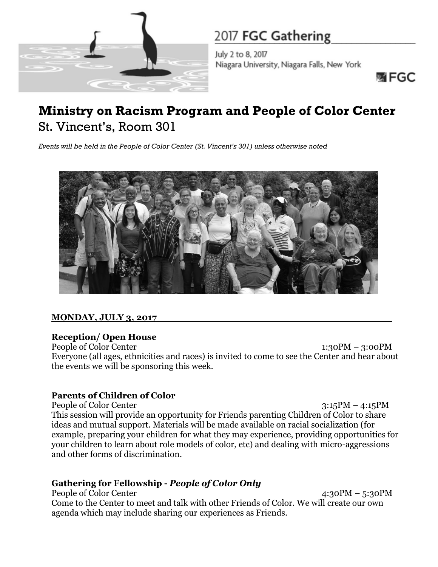

July 2 to 8, 2017 Niagara University, Niagara Falls, New York

函 FGC

## **Ministry on Racism Program and People of Color Center** St. Vincent's, Room 301

*Events will be held in the People of Color Center (St. Vincent's 301) unless otherwise noted*



## **MONDAY, JULY 3, 2017\_\_\_\_\_\_\_\_\_\_\_\_\_\_\_\_\_\_\_\_\_\_\_\_\_\_\_\_\_\_\_\_\_\_\_\_\_\_\_**

## **Reception/ Open House**

People of Color Center 1:30PM – 3:00PM Everyone (all ages, ethnicities and races) is invited to come to see the Center and hear about the events we will be sponsoring this week.

## **Parents of Children of Color**

People of Color Center 3:15PM – 4:15PM This session will provide an opportunity for Friends parenting Children of Color to share ideas and mutual support. Materials will be made available on racial socialization (for example, preparing your children for what they may experience, providing opportunities for your children to learn about role models of color, etc) and dealing with micro-aggressions and other forms of discrimination.

## **Gathering for Fellowship -** *People of Color Only*

People of Color Center 4:30PM – 5:30PM Come to the Center to meet and talk with other Friends of Color. We will create our own agenda which may include sharing our experiences as Friends.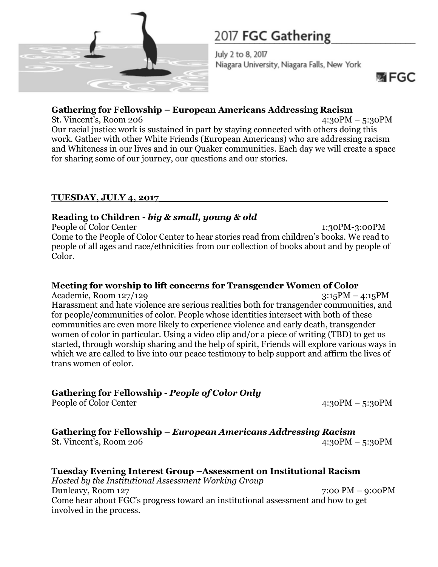

July 2 to 8, 2017 Niagara University, Niagara Falls, New York

哪 FGC

## **Gathering for Fellowship – European Americans Addressing Racism**

St. Vincent's, Room 206 4:30PM – 5:30PM Our racial justice work is sustained in part by staying connected with others doing this work. Gather with other White Friends (European Americans) who are addressing racism and Whiteness in our lives and in our Quaker communities. Each day we will create a space for sharing some of our journey, our questions and our stories.

### **TUESDAY, JULY 4, 2017\_\_\_\_\_\_\_\_\_\_\_\_\_\_\_\_\_\_\_\_\_\_\_\_\_\_\_\_\_\_\_\_\_\_\_\_\_\_**

## **Reading to Children -** *big & small, young & old*

People of Color Center 1:30PM-3:00PM Come to the People of Color Center to hear stories read from children's books. We read to people of all ages and race/ethnicities from our collection of books about and by people of Color.

## **Meeting for worship to lift concerns for Transgender Women of Color**

Academic, Room 127/129 3:15PM – 4:15PM Harassment and hate violence are serious realities both for transgender communities, and for people/communities of color. People whose identities intersect with both of these communities are even more likely to experience violence and early death, transgender women of color in particular. Using a video clip and/or a piece of writing (TBD) to get us started, through worship sharing and the help of spirit, Friends will explore various ways in which we are called to live into our peace testimony to help support and affirm the lives of trans women of color.

## **Gathering for Fellowship -** *People of Color Only*

People of Color Center 4:30PM – 5:30PM

**Gathering for Fellowship –** *European Americans Addressing Racism*  St. Vincent's, Room 206 4:30PM – 5:30PM

**Tuesday Evening Interest Group –Assessment on Institutional Racism**  *Hosted by the Institutional Assessment Working Group*  Dunleavy, Room 127 7:00 PM – 9:00PM Come hear about FGC's progress toward an institutional assessment and how to get involved in the process.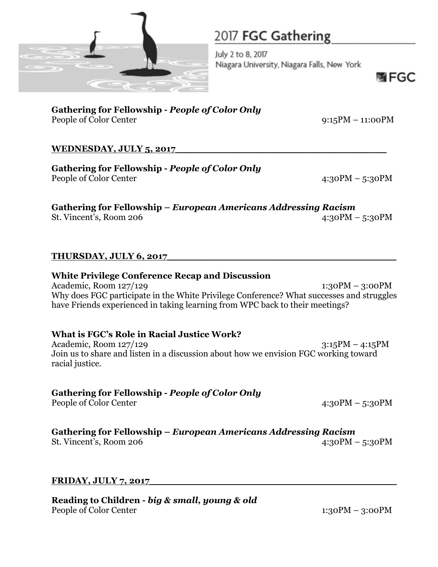

July 2 to 8, 2017 Niagara University, Niagara Falls, New York

哪 FGC

**Gathering for Fellowship -** *People of Color Only* People of Color Center 9:15PM – 11:00PM

### **WEDNESDAY, JULY 5, 2017\_\_\_\_\_\_\_\_\_\_\_\_\_\_\_\_\_\_\_\_\_\_\_\_\_\_\_\_\_\_\_\_\_\_\_**

**Gathering for Fellowship -** *People of Color Only* People of Color Center 4:30PM – 5:30PM

**Gathering for Fellowship –** *European Americans Addressing Racism*  St. Vincent's, Room 206 4:30PM – 5:30PM

#### **THURSDAY, JULY 6, 2017\_\_\_\_\_\_\_\_\_\_\_\_\_\_\_\_\_\_\_\_\_\_\_\_\_\_\_\_\_\_\_\_\_\_\_\_\_\_**

#### **White Privilege Conference Recap and Discussion** Academic, Room 127/129 1:30PM – 3:00PM Why does FGC participate in the White Privilege Conference? What successes and struggles have Friends experienced in taking learning from WPC back to their meetings?

### **What is FGC's Role in Racial Justice Work?**

Academic, Room 127/129 3:15PM – 4:15PM Join us to share and listen in a discussion about how we envision FGC working toward racial justice.

### **Gathering for Fellowship -** *People of Color Only*

People of Color Center 4:30PM – 5:30PM

### **Gathering for Fellowship –** *European Americans Addressing Racism*

St. Vincent's, Room 206 4:30PM – 5:30PM

#### **FRIDAY, JULY 7, 2017\_\_\_\_\_\_\_\_\_\_\_\_\_\_\_\_\_\_\_\_\_\_\_\_\_\_\_\_\_\_\_\_\_\_\_\_\_\_\_\_\_**

**Reading to Children -** *big & small, young & old* People of Color Center 1:30PM – 3:00PM